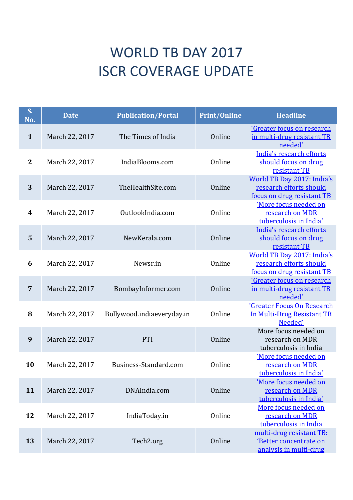## WORLD TB DAY 2017 ISCR COVERAGE UPDATE

| S.<br>No.      | <b>Date</b>    | <b>Publication/Portal</b>  | <b>Print/Online</b> | <b>Headline</b>                                                                            |
|----------------|----------------|----------------------------|---------------------|--------------------------------------------------------------------------------------------|
| $\mathbf{1}$   | March 22, 2017 | The Times of India         | Online              | 'Greater focus on research<br>in multi-drug resistant TB<br>needed'                        |
| $\mathbf{2}$   | March 22, 2017 | IndiaBlooms.com            | Online              | India's research efforts<br>should focus on drug<br>resistant TB                           |
| 3              | March 22, 2017 | TheHealthSite.com          | Online              | <b>World TB Day 2017: India's</b><br>research efforts should<br>focus on drug resistant TB |
| 4              | March 22, 2017 | OutlookIndia.com           | Online              | 'More focus needed on<br>research on MDR<br>tuberculosis in India'                         |
| 5              | March 22, 2017 | NewKerala.com              | Online              | India's research efforts<br>should focus on drug<br>resistant TB                           |
| 6              | March 22, 2017 | Newsr.in                   | Online              | World TB Day 2017: India's<br>research efforts should<br>focus on drug resistant TB        |
| $\overline{7}$ | March 22, 2017 | BombayInformer.com         | Online              | 'Greater focus on research<br>in multi-drug resistant TB<br>needed'                        |
| 8              | March 22, 2017 | Bollywood.indiaeveryday.in | Online              | <b>'Greater Focus On Research</b><br>In Multi-Drug Resistant TB<br>Needed'                 |
| 9              | March 22, 2017 | PTI                        | Online              | More focus needed on<br>research on MDR<br>tuberculosis in India                           |
| 10             | March 22, 2017 | Business-Standard.com      | Online              | 'More focus needed on<br>research on MDR<br>tuberculosis in India'                         |
| 11             | March 22, 2017 | DNAIndia.com               | Online              | 'More focus needed on<br>research on MDR<br>tuberculosis in India'                         |
| 12             | March 22, 2017 | IndiaToday.in              | Online              | More focus needed on<br>research on MDR<br>tuberculosis in India                           |
| 13             | March 22, 2017 | Tech2.org                  | Online              | multi-drug resistant TB:<br>'Better concentrate on<br>analysis in multi-drug               |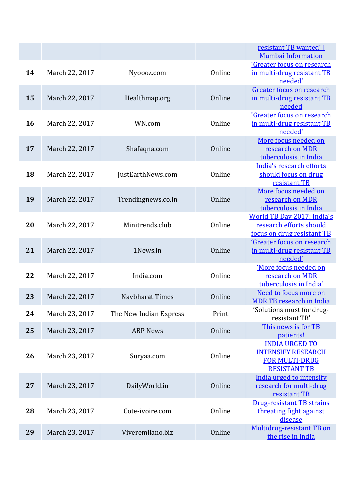|    |                |                        |        | resistant TB wanted'  <br><b>Mumbai Information</b>                                                |
|----|----------------|------------------------|--------|----------------------------------------------------------------------------------------------------|
| 14 | March 22, 2017 | Nyoooz.com             | Online | 'Greater focus on research<br>in multi-drug resistant TB<br>needed'                                |
| 15 | March 22, 2017 | Healthmap.org          | Online | Greater focus on research<br>in multi-drug resistant TB<br>needed                                  |
| 16 | March 22, 2017 | WN.com                 | Online | 'Greater focus on research<br>in multi-drug resistant TB<br>needed'                                |
| 17 | March 22, 2017 | Shafaqna.com           | Online | More focus needed on<br>research on MDR<br>tuberculosis in India                                   |
| 18 | March 22, 2017 | JustEarthNews.com      | Online | India's research efforts<br>should focus on drug<br>resistant TB                                   |
| 19 | March 22, 2017 | Trendingnews.co.in     | Online | More focus needed on<br>research on MDR<br>tuberculosis in India                                   |
| 20 | March 22, 2017 | Minitrends.club        | Online | World TB Day 2017: India's<br>research efforts should<br>focus on drug resistant TB                |
| 21 | March 22, 2017 | 1News.in               | Online | 'Greater focus on research<br>in multi-drug resistant TB<br>needed'                                |
| 22 | March 22, 2017 | India.com              | Online | 'More focus needed on<br>research on MDR<br>tuberculosis in India'                                 |
| 23 | March 22, 2017 | Navbharat Times        | Online | Need to focus more on<br><b>MDR TB research in India</b>                                           |
| 24 | March 23, 2017 | The New Indian Express | Print  | 'Solutions must for drug-<br>resistant TB'                                                         |
| 25 | March 23, 2017 | <b>ABP News</b>        | Online | This news is for TB<br>patients!                                                                   |
| 26 | March 23, 2017 | Suryaa.com             | Online | <b>INDIA URGED TO</b><br><b>INTENSIFY RESEARCH</b><br><b>FOR MULTI-DRUG</b><br><b>RESISTANT TB</b> |
| 27 | March 23, 2017 | DailyWorld.in          | Online | India urged to intensify<br>research for multi-drug<br>resistant TB                                |
| 28 | March 23, 2017 | Cote-ivoire.com        | Online | <b>Drug-resistant TB strains</b><br>threating fight against<br>disease                             |
| 29 | March 23, 2017 | Viveremilano.biz       | Online | Multidrug-resistant TB on<br>the rise in India                                                     |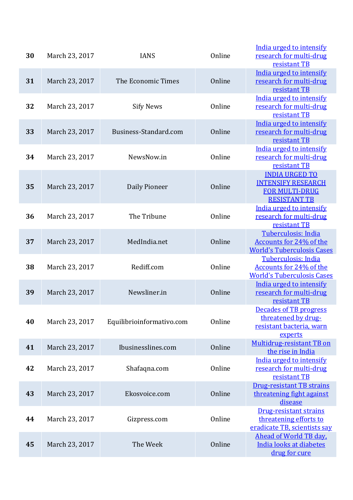| 30 | March 23, 2017 | <b>IANS</b>               | Online | India urged to intensify<br>research for multi-drug<br>resistant TB                                |
|----|----------------|---------------------------|--------|----------------------------------------------------------------------------------------------------|
| 31 | March 23, 2017 | The Economic Times        | Online | India urged to intensify<br>research for multi-drug<br>resistant TB                                |
| 32 | March 23, 2017 | <b>Sify News</b>          | Online | India urged to intensify<br>research for multi-drug<br>resistant TB                                |
| 33 | March 23, 2017 | Business-Standard.com     | Online | India urged to intensify<br>research for multi-drug<br>resistant TB                                |
| 34 | March 23, 2017 | NewsNow.in                | Online | India urged to intensify<br>research for multi-drug<br>resistant TB                                |
| 35 | March 23, 2017 | Daily Pioneer             | Online | <b>INDIA URGED TO</b><br><b>INTENSIFY RESEARCH</b><br><b>FOR MULTI-DRUG</b><br><b>RESISTANT TB</b> |
| 36 | March 23, 2017 | The Tribune               | Online | India urged to intensify<br>research for multi-drug<br>resistant TB                                |
| 37 | March 23, 2017 | MedIndia.net              | Online | Tuberculosis: India<br>Accounts for 24% of the<br><b>World's Tuberculosis Cases</b>                |
| 38 | March 23, 2017 | Rediff.com                | Online | Tuberculosis: India<br>Accounts for 24% of the<br><b>World's Tuberculosis Cases</b>                |
| 39 | March 23, 2017 | Newsliner.in              | Online | India urged to intensify<br>research for multi-drug<br>resistant TB                                |
| 40 | March 23, 2017 | Equilibrioinformativo.com | Online | <b>Decades of TB progress</b><br>threatened by drug-<br>resistant bacteria, warn<br>experts        |
| 41 | March 23, 2017 | Ibusinesslines.com        | Online | Multidrug-resistant TB on<br>the rise in India                                                     |
| 42 | March 23, 2017 | Shafaqna.com              | Online | India urged to intensify<br>research for multi-drug<br>resistant TB                                |
| 43 | March 23, 2017 | Ekosvoice.com             | Online | <b>Drug-resistant TB strains</b><br>threatening fight against<br>disease                           |
| 44 | March 23, 2017 | Gizpress.com              | Online | <b>Drug-resistant strains</b><br>threatening efforts to<br>eradicate TB, scientists say            |
| 45 | March 23, 2017 | The Week                  | Online | Ahead of World TB day,<br>India looks at diabetes<br>drug for cure                                 |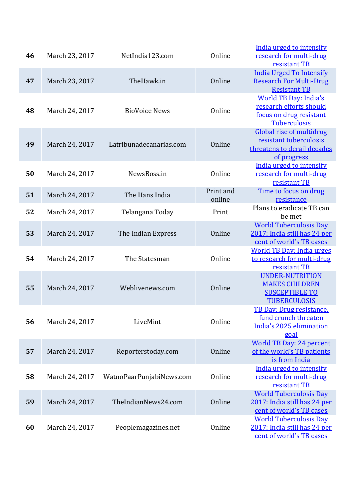| 46 | March 23, 2017 | NetIndia123.com          | Online              | India urged to intensify<br>research for multi-drug<br>resistant TB                                       |
|----|----------------|--------------------------|---------------------|-----------------------------------------------------------------------------------------------------------|
| 47 | March 23, 2017 | TheHawk.in               | Online              | <b>India Urged To Intensify</b><br><b>Research For Multi-Drug</b><br><b>Resistant TB</b>                  |
| 48 | March 24, 2017 | <b>BioVoice News</b>     | Online              | <b>World TB Day: India's</b><br>research efforts should<br>focus on drug resistant<br><b>Tuberculosis</b> |
| 49 | March 24, 2017 | Latribunadecanarias.com  | Online              | <b>Global rise of multidrug</b><br>resistant tuberculosis<br>threatens to derail decades<br>of progress   |
| 50 | March 24, 2017 | NewsBoss.in              | Online              | India urged to intensify<br>research for multi-drug<br>resistant TB                                       |
| 51 | March 24, 2017 | The Hans India           | Print and<br>online | Time to focus on drug<br>resistance                                                                       |
| 52 | March 24, 2017 | Telangana Today          | Print               | Plans to eradicate TB can<br>be met                                                                       |
| 53 | March 24, 2017 | The Indian Express       | Online              | <b>World Tuberculosis Day</b><br>2017: India still has 24 per<br>cent of world's TB cases                 |
| 54 | March 24, 2017 | The Statesman            | Online              | <b>World TB Day: India urges</b><br>to research for multi-drug<br>resistant TB                            |
| 55 | March 24, 2017 | Weblivenews.com          | Online              | <b>UNDER-NUTRITION</b><br><b>MAKES CHILDREN</b><br><b>SUSCEPTIBLE TO</b><br><b>TUBERCULOSIS</b>           |
| 56 | March 24, 2017 | LiveMint                 | Online              | TB Day: Drug resistance.<br>fund crunch threaten<br>India's 2025 elimination<br>goal                      |
| 57 | March 24, 2017 | Reporterstoday.com       | Online              | <b>World TB Day: 24 percent</b><br>of the world's TB patients<br>is from India                            |
| 58 | March 24, 2017 | WatnoPaarPunjabiNews.com | Online              | India urged to intensify<br>research for multi-drug<br>resistant TB                                       |
| 59 | March 24, 2017 | TheIndianNews24.com      | Online              | <b>World Tuberculosis Day</b><br>2017: India still has 24 per<br>cent of world's TB cases                 |
| 60 | March 24, 2017 | Peoplemagazines.net      | Online              | <b>World Tuberculosis Day</b><br>2017: India still has 24 per<br>cent of world's TB cases                 |